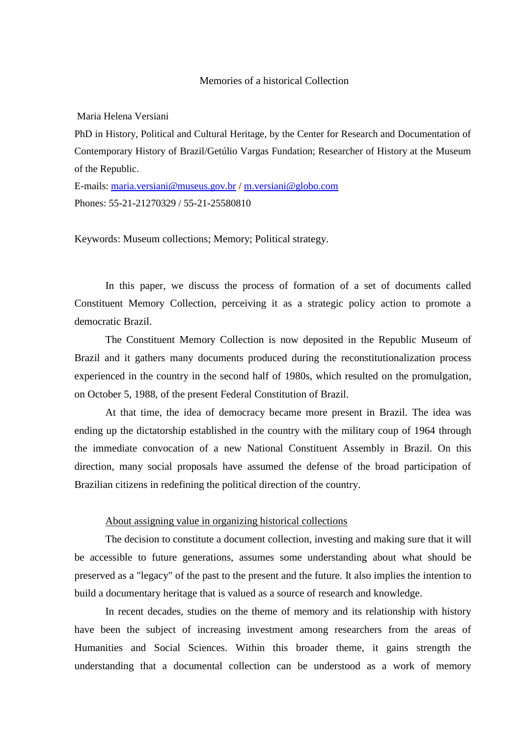#### Memories of a historical Collection

Maria Helena Versiani

PhD in History, Political and Cultural Heritage, by the Center for Research and Documentation of Contemporary History of Brazil/Getúlio Vargas Fundation; Researcher of History at the Museum of the Republic.

E-mails: [maria.versiani@museus.gov.br](mailto:maria.versiani@museus.gov.br) / [m.versiani@globo.com](mailto:m.versiani@globo.com) Phones: 55-21-21270329 / 55-21-25580810

Keywords: Museum collections; Memory; Political strategy.

In this paper, we discuss the process of formation of a set of documents called Constituent Memory Collection, perceiving it as a strategic policy action to promote a democratic Brazil.

The Constituent Memory Collection is now deposited in the Republic Museum of Brazil and it gathers many documents produced during the reconstitutionalization process experienced in the country in the second half of 1980s, which resulted on the promulgation, on October 5, 1988, of the present Federal Constitution of Brazil.

At that time, the idea of democracy became more present in Brazil. The idea was ending up the dictatorship established in the country with the military coup of 1964 through the immediate convocation of a new National Constituent Assembly in Brazil. On this direction, many social proposals have assumed the defense of the broad participation of Brazilian citizens in redefining the political direction of the country.

### About assigning value in organizing historical collections

The decision to constitute a document collection, investing and making sure that it will be accessible to future generations, assumes some understanding about what should be preserved as a "legacy" of the past to the present and the future. It also implies the intention to build a documentary heritage that is valued as a source of research and knowledge.

In recent decades, studies on the theme of memory and its relationship with history have been the subject of increasing investment among researchers from the areas of Humanities and Social Sciences. Within this broader theme, it gains strength the understanding that a documental collection can be understood as a work of memory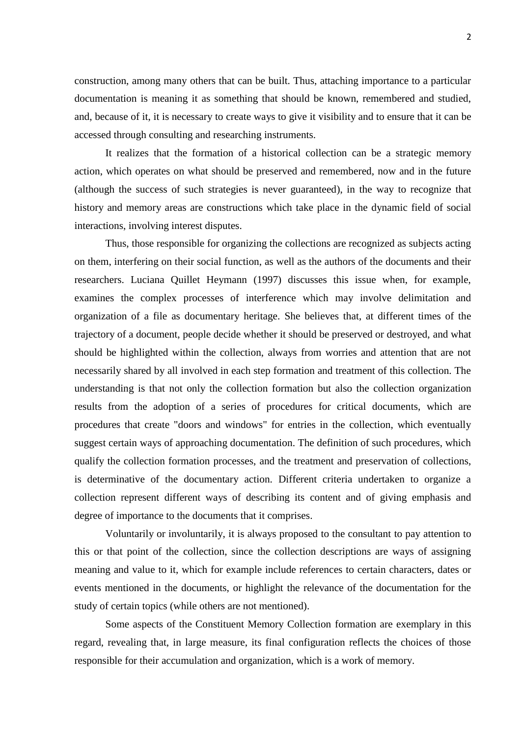construction, among many others that can be built. Thus, attaching importance to a particular documentation is meaning it as something that should be known, remembered and studied, and, because of it, it is necessary to create ways to give it visibility and to ensure that it can be accessed through consulting and researching instruments.

It realizes that the formation of a historical collection can be a strategic memory action, which operates on what should be preserved and remembered, now and in the future (although the success of such strategies is never guaranteed), in the way to recognize that history and memory areas are constructions which take place in the dynamic field of social interactions, involving interest disputes.

Thus, those responsible for organizing the collections are recognized as subjects acting on them, interfering on their social function, as well as the authors of the documents and their researchers. Luciana Quillet Heymann (1997) discusses this issue when, for example, examines the complex processes of interference which may involve delimitation and organization of a file as documentary heritage. She believes that, at different times of the trajectory of a document, people decide whether it should be preserved or destroyed, and what should be highlighted within the collection, always from worries and attention that are not necessarily shared by all involved in each step formation and treatment of this collection. The understanding is that not only the collection formation but also the collection organization results from the adoption of a series of procedures for critical documents, which are procedures that create "doors and windows" for entries in the collection, which eventually suggest certain ways of approaching documentation. The definition of such procedures, which qualify the collection formation processes, and the treatment and preservation of collections, is determinative of the documentary action. Different criteria undertaken to organize a collection represent different ways of describing its content and of giving emphasis and degree of importance to the documents that it comprises.

Voluntarily or involuntarily, it is always proposed to the consultant to pay attention to this or that point of the collection, since the collection descriptions are ways of assigning meaning and value to it, which for example include references to certain characters, dates or events mentioned in the documents, or highlight the relevance of the documentation for the study of certain topics (while others are not mentioned).

Some aspects of the Constituent Memory Collection formation are exemplary in this regard, revealing that, in large measure, its final configuration reflects the choices of those responsible for their accumulation and organization, which is a work of memory.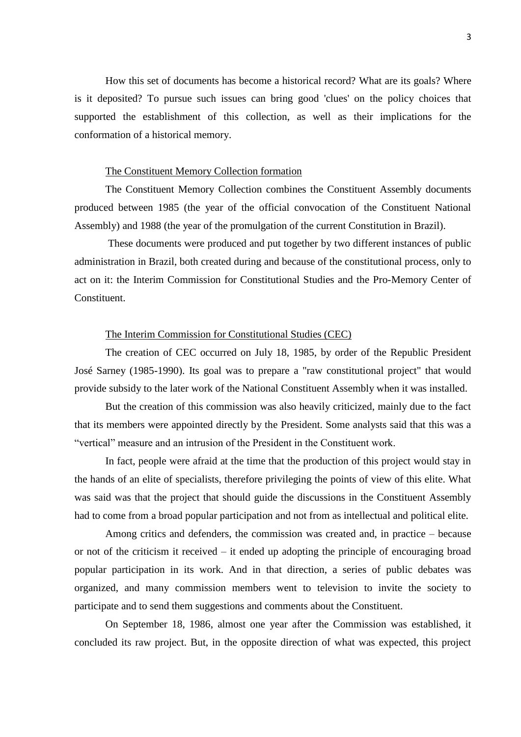How this set of documents has become a historical record? What are its goals? Where is it deposited? To pursue such issues can bring good 'clues' on the policy choices that supported the establishment of this collection, as well as their implications for the conformation of a historical memory.

## The Constituent Memory Collection formation

The Constituent Memory Collection combines the Constituent Assembly documents produced between 1985 (the year of the official convocation of the Constituent National Assembly) and 1988 (the year of the promulgation of the current Constitution in Brazil).

These documents were produced and put together by two different instances of public administration in Brazil, both created during and because of the constitutional process, only to act on it: the Interim Commission for Constitutional Studies and the Pro-Memory Center of **Constituent.** 

#### The Interim Commission for Constitutional Studies (CEC)

The creation of CEC occurred on July 18, 1985, by order of the Republic President José Sarney (1985-1990). Its goal was to prepare a "raw constitutional project" that would provide subsidy to the later work of the National Constituent Assembly when it was installed.

But the creation of this commission was also heavily criticized, mainly due to the fact that its members were appointed directly by the President. Some analysts said that this was a "vertical" measure and an intrusion of the President in the Constituent work.

In fact, people were afraid at the time that the production of this project would stay in the hands of an elite of specialists, therefore privileging the points of view of this elite. What was said was that the project that should guide the discussions in the Constituent Assembly had to come from a broad popular participation and not from as intellectual and political elite.

Among critics and defenders, the commission was created and, in practice – because or not of the criticism it received – it ended up adopting the principle of encouraging broad popular participation in its work. And in that direction, a series of public debates was organized, and many commission members went to television to invite the society to participate and to send them suggestions and comments about the Constituent.

On September 18, 1986, almost one year after the Commission was established, it concluded its raw project. But, in the opposite direction of what was expected, this project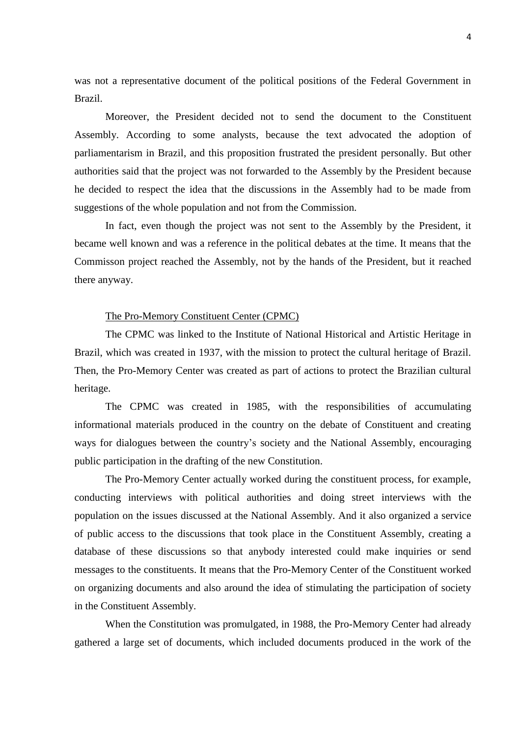was not a representative document of the political positions of the Federal Government in Brazil.

Moreover, the President decided not to send the document to the Constituent Assembly. According to some analysts, because the text advocated the adoption of parliamentarism in Brazil, and this proposition frustrated the president personally. But other authorities said that the project was not forwarded to the Assembly by the President because he decided to respect the idea that the discussions in the Assembly had to be made from suggestions of the whole population and not from the Commission.

In fact, even though the project was not sent to the Assembly by the President, it became well known and was a reference in the political debates at the time. It means that the Commisson project reached the Assembly, not by the hands of the President, but it reached there anyway.

### The Pro-Memory Constituent Center (CPMC)

The CPMC was linked to the Institute of National Historical and Artistic Heritage in Brazil, which was created in 1937, with the mission to protect the cultural heritage of Brazil. Then, the Pro-Memory Center was created as part of actions to protect the Brazilian cultural heritage.

The CPMC was created in 1985, with the responsibilities of accumulating informational materials produced in the country on the debate of Constituent and creating ways for dialogues between the country's society and the National Assembly, encouraging public participation in the drafting of the new Constitution.

The Pro-Memory Center actually worked during the constituent process, for example, conducting interviews with political authorities and doing street interviews with the population on the issues discussed at the National Assembly. And it also organized a service of public access to the discussions that took place in the Constituent Assembly, creating a database of these discussions so that anybody interested could make inquiries or send messages to the constituents. It means that the Pro-Memory Center of the Constituent worked on organizing documents and also around the idea of stimulating the participation of society in the Constituent Assembly.

When the Constitution was promulgated, in 1988, the Pro-Memory Center had already gathered a large set of documents, which included documents produced in the work of the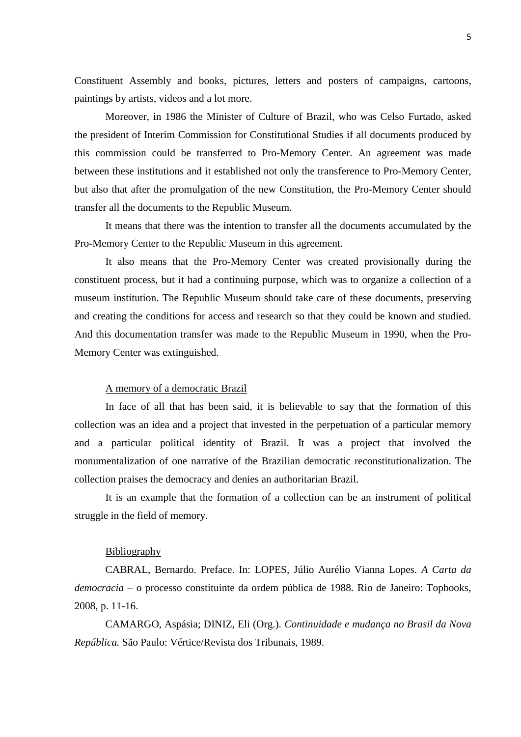Constituent Assembly and books, pictures, letters and posters of campaigns, cartoons, paintings by artists, videos and a lot more.

Moreover, in 1986 the Minister of Culture of Brazil, who was Celso Furtado, asked the president of Interim Commission for Constitutional Studies if all documents produced by this commission could be transferred to Pro-Memory Center. An agreement was made between these institutions and it established not only the transference to Pro-Memory Center, but also that after the promulgation of the new Constitution, the Pro-Memory Center should transfer all the documents to the Republic Museum.

It means that there was the intention to transfer all the documents accumulated by the Pro-Memory Center to the Republic Museum in this agreement.

It also means that the Pro-Memory Center was created provisionally during the constituent process, but it had a continuing purpose, which was to organize a collection of a museum institution. The Republic Museum should take care of these documents, preserving and creating the conditions for access and research so that they could be known and studied. And this documentation transfer was made to the Republic Museum in 1990, when the Pro-Memory Center was extinguished.

## A memory of a democratic Brazil

In face of all that has been said, it is believable to say that the formation of this collection was an idea and a project that invested in the perpetuation of a particular memory and a particular political identity of Brazil. It was a project that involved the monumentalization of one narrative of the Brazilian democratic reconstitutionalization. The collection praises the democracy and denies an authoritarian Brazil.

It is an example that the formation of a collection can be an instrument of political struggle in the field of memory.

# Bibliography

CABRAL, Bernardo. Preface. In: LOPES, Júlio Aurélio Vianna Lopes. *A Carta da democracia –* o processo constituinte da ordem pública de 1988*.* Rio de Janeiro: Topbooks, 2008, p. 11-16.

CAMARGO, Aspásia; DINIZ, Eli (Org.). *Continuidade e mudança no Brasil da Nova República.* São Paulo: Vértice/Revista dos Tribunais, 1989.